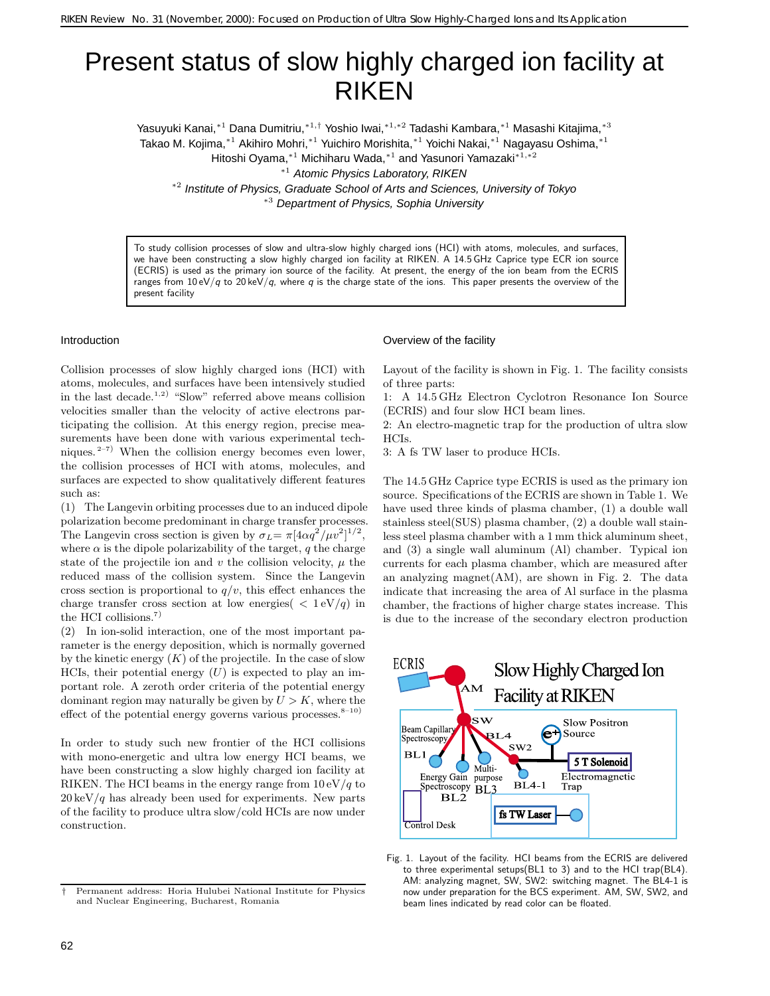## Present status of slow highly charged ion facility at RIKEN

Yasuyuki Kanai,∗<sup>1</sup> Dana Dumitriu,∗1*,*† Yoshio Iwai,∗1*,*∗<sup>2</sup> Tadashi Kambara,∗<sup>1</sup> Masashi Kitajima,∗<sup>3</sup> Takao M. Kojima,∗<sup>1</sup> Akihiro Mohri,∗<sup>1</sup> Yuichiro Morishita,∗<sup>1</sup> Yoichi Nakai,∗<sup>1</sup> Nagayasu Oshima,∗<sup>1</sup>

Hitoshi Oyama,∗<sup>1</sup> Michiharu Wada,∗<sup>1</sup> and Yasunori Yamazaki∗1*,*∗<sup>2</sup>

<sup>∗</sup><sup>1</sup> Atomic Physics Laboratory, RIKEN

<sup>∗</sup><sup>2</sup> Institute of Physics, Graduate School of Arts and Sciences, University of Tokyo <sup>∗</sup><sup>3</sup> Department of Physics, Sophia University

To study collision processes of slow and ultra-slow highly charged ions (HCI) with atoms, molecules, and surfaces, we have been constructing a slow highly charged ion facility at RIKEN. A 14.5 GHz Caprice type ECR ion source (ECRIS) is used as the primary ion source of the facility. At present, the energy of the ion beam from the ECRIS ranges from  $10 \frac{eV}{q}$  to  $20 \frac{keV}{q}$ , where *q* is the charge state of the ions. This paper presents the overview of the present facility

## Introduction

Collision processes of slow highly charged ions (HCI) with atoms, molecules, and surfaces have been intensively studied in the last decade.<sup>1,2)</sup> "Slow" referred above means collision velocities smaller than the velocity of active electrons participating the collision. At this energy region, precise measurements have been done with various experimental techniques.  $2^{-7}$  When the collision energy becomes even lower, the collision processes of HCI with atoms, molecules, and surfaces are expected to show qualitatively different features such as:

(1) The Langevin orbiting processes due to an induced dipole polarization become predominant in charge transfer processes. The Langevin cross section is given by  $\sigma_L = \pi [4\alpha q^2 / \mu v^2]^{1/2}$ , where  $\alpha$  is the dipole polarizability of the target, q the charge state of the projectile ion and  $v$  the collision velocity,  $\mu$  the reduced mass of the collision system. Since the Langevin cross section is proportional to  $q/v$ , this effect enhances the charge transfer cross section at low energies  $($  <  $1 \text{ eV}/q$ ) in the HCI collisions.<sup>7)</sup>

(2) In ion-solid interaction, one of the most important parameter is the energy deposition, which is normally governed by the kinetic energy  $(K)$  of the projectile. In the case of slow HCIs, their potential energy  $(U)$  is expected to play an important role. A zeroth order criteria of the potential energy dominant region may naturally be given by  $U > K$ , where the effect of the potential energy governs various processes.<sup>8–10)</sup>

In order to study such new frontier of the HCI collisions with mono-energetic and ultra low energy HCI beams, we have been constructing a slow highly charged ion facility at RIKEN. The HCI beams in the energy range from  $10 \text{ eV}/q$  to  $20 \,\text{keV}/q$  has already been used for experiments. New parts of the facility to produce ultra slow/cold HCIs are now under construction.

## Overview of the facility

Layout of the facility is shown in Fig. 1. The facility consists of three parts:

1: A 14.5 GHz Electron Cyclotron Resonance Ion Source (ECRIS) and four slow HCI beam lines.

2: An electro-magnetic trap for the production of ultra slow HCIs.

3: A fs TW laser to produce HCIs.

The 14.5 GHz Caprice type ECRIS is used as the primary ion source. Specifications of the ECRIS are shown in Table 1. We have used three kinds of plasma chamber, (1) a double wall stainless steel(SUS) plasma chamber, (2) a double wall stainless steel plasma chamber with a 1 mm thick aluminum sheet, and (3) a single wall aluminum (Al) chamber. Typical ion currents for each plasma chamber, which are measured after an analyzing magnet(AM), are shown in Fig. 2. The data indicate that increasing the area of Al surface in the plasma chamber, the fractions of higher charge states increase. This is due to the increase of the secondary electron production



Fig. 1. Layout of the facility. HCI beams from the ECRIS are delivered to three experimental setups(BL1 to 3) and to the HCI trap(BL4). AM: analyzing magnet, SW, SW2: switching magnet. The BL4-1 is now under preparation for the BCS experiment. AM, SW, SW2, and beam lines indicated by read color can be floated.

*<sup>†</sup>* Permanent address: Horia Hulubei National Institute for Physics and Nuclear Engineering, Bucharest, Romania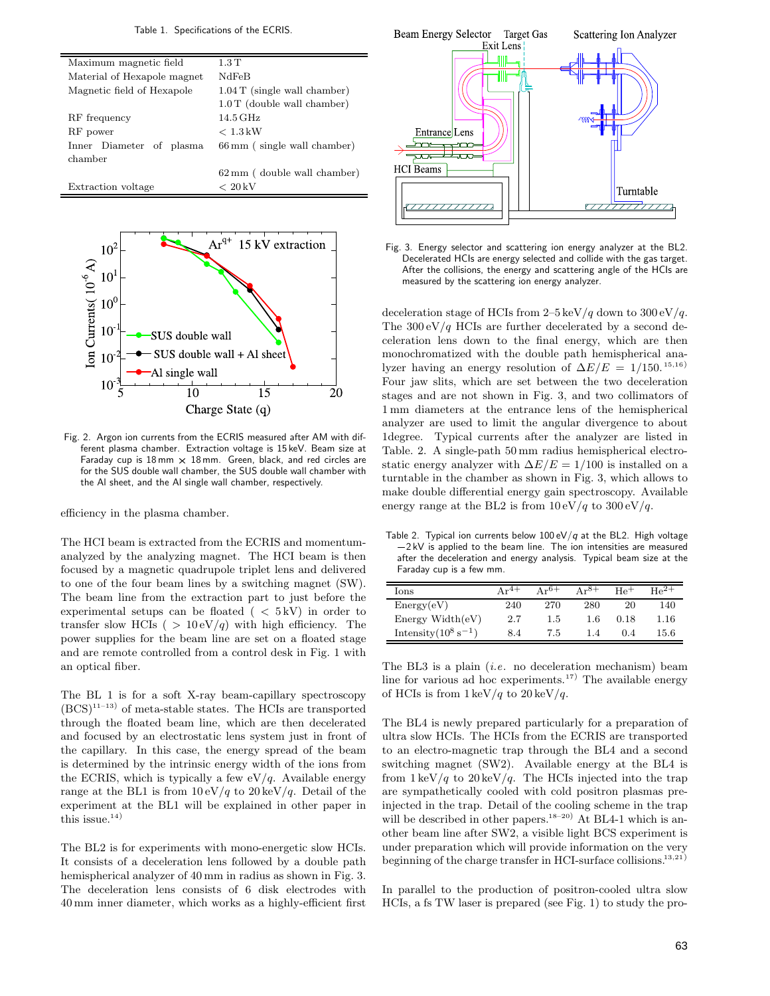Table 1. Specifications of the ECRIS.

| Maximum magnetic field      | 1.3T                           |  |  |  |
|-----------------------------|--------------------------------|--|--|--|
| Material of Hexapole magnet | NdFeB                          |  |  |  |
| Magnetic field of Hexapole  | $1.04$ T (single wall chamber) |  |  |  |
|                             | $1.0$ T (double wall chamber)  |  |  |  |
| RF frequency                | $14.5\,\mathrm{GHz}$           |  |  |  |
| RF power                    | $< 1.3$ kW                     |  |  |  |
| Inner Diameter of plasma    | 66 mm (single wall chamber)    |  |  |  |
| chamber                     |                                |  |  |  |
|                             | 62 mm (double wall chamber)    |  |  |  |
| Extraction voltage          | $< 20$ kV                      |  |  |  |
|                             |                                |  |  |  |



Fig. 2. Argon ion currents from the ECRIS measured after AM with different plasma chamber. Extraction voltage is 15 keV. Beam size at Faraday cup is  $18 \text{ mm} \times 18 \text{ mm}$ . Green, black, and red circles are for the SUS double wall chamber, the SUS double wall chamber with the Al sheet, and the Al single wall chamber, respectively.

efficiency in the plasma chamber.

The HCI beam is extracted from the ECRIS and momentumanalyzed by the analyzing magnet. The HCI beam is then focused by a magnetic quadrupole triplet lens and delivered to one of the four beam lines by a switching magnet (SW). The beam line from the extraction part to just before the experimental setups can be floated  $( < 5 \text{ kV})$  in order to transfer slow HCIs (  $> 10 \text{ eV}/q$ ) with high efficiency. The power supplies for the beam line are set on a floated stage and are remote controlled from a control desk in Fig. 1 with an optical fiber.

The BL 1 is for a soft X-ray beam-capillary spectroscopy  $(\mathrm{BCS})^{11-13)}$  of meta-stable states. The HCIs are transported through the floated beam line, which are then decelerated and focused by an electrostatic lens system just in front of the capillary. In this case, the energy spread of the beam is determined by the intrinsic energy width of the ions from the ECRIS, which is typically a few  $eV/q$ . Available energy range at the BL1 is from  $10 \frac{eV}{q}$  to  $20 \frac{keV}{q}$ . Detail of the experiment at the BL1 will be explained in other paper in this issue.<sup>14)</sup>

The BL2 is for experiments with mono-energetic slow HCIs. It consists of a deceleration lens followed by a double path hemispherical analyzer of  $40 \text{ mm}$  in radius as shown in Fig. 3. The deceleration lens consists of 6 disk electrodes with 40 mm inner diameter, which works as a highly-efficient first

![](_page_1_Figure_8.jpeg)

Fig. 3. Energy selector and scattering ion energy analyzer at the BL2. Decelerated HCIs are energy selected and collide with the gas target. After the collisions, the energy and scattering angle of the HCIs are measured by the scattering ion energy analyzer.

deceleration stage of HCIs from 2–5 keV/q down to  $300 \text{ eV}/q$ . The  $300 \text{ eV}/q$  HCIs are further decelerated by a second deceleration lens down to the final energy, which are then monochromatized with the double path hemispherical analyzer having an energy resolution of  $\Delta E/E = 1/150^{15,16}$ Four jaw slits, which are set between the two deceleration stages and are not shown in Fig. 3, and two collimators of 1 mm diameters at the entrance lens of the hemispherical analyzer are used to limit the angular divergence to about 1degree. Typical currents after the analyzer are listed in Table. 2. A single-path 50 mm radius hemispherical electrostatic energy analyzer with  $\Delta E/E = 1/100$  is installed on a turntable in the chamber as shown in Fig. 3, which allows to make double differential energy gain spectroscopy. Available energy range at the BL2 is from  $10 \text{ eV}/q$  to  $300 \text{ eV}/q$ .

Table 2. Typical ion currents below 100 eV/*q* at the BL2. High voltage -2 kV is applied to the beam line. The ion intensities are measured after the deceleration and energy analysis. Typical beam size at the Faraday cup is a few mm.

| Ions                              | $Ar^{4+}$ | $Ar^{6+}$ | $Ar^{8+}$ | He <sup>+</sup> | $He^{2+}$ |
|-----------------------------------|-----------|-----------|-----------|-----------------|-----------|
| Energy(eV)                        | 240       | 270       | 280       | 20              | 140       |
| Energy Width(eV)                  | 2.7       | 1.5       | 1.6       | 0.18            | 1.16      |
| Intensity $(10^8 \text{ s}^{-1})$ | 8.4       | 7.5       | 1.4       | (0.4)           | 15.6      |

The BL3 is a plain (*i.e*. no deceleration mechanism) beam line for various ad hoc experiments.<sup>17)</sup> The available energy of HCIs is from  $1 \text{ keV}/q$  to  $20 \text{ keV}/q$ .

The BL4 is newly prepared particularly for a preparation of ultra slow HCIs. The HCIs from the ECRIS are transported to an electro-magnetic trap through the BL4 and a second switching magnet (SW2). Available energy at the BL4 is from  $1 \text{ keV}/q$  to  $20 \text{ keV}/q$ . The HCIs injected into the trap are sympathetically cooled with cold positron plasmas preinjected in the trap. Detail of the cooling scheme in the trap will be described in other papers.<sup>18–20)</sup> At BL4-1 which is another beam line after SW2, a visible light BCS experiment is under preparation which will provide information on the very beginning of the charge transfer in HCI-surface collisions.<sup>13,21</sup>

In parallel to the production of positron-cooled ultra slow HCIs, a fs TW laser is prepared (see Fig. 1) to study the pro